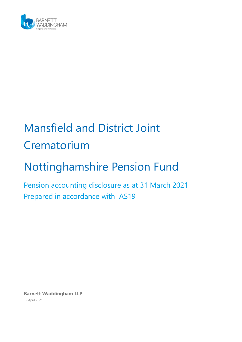

# Mansfield and District Joint **Crematorium**

# Nottinghamshire Pension Fund

Pension accounting disclosure as at 31 March 2021 Prepared in accordance with IAS19

**Barnett Waddingham LLP** 12 April 2021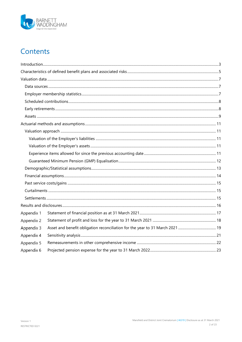

# Contents

| Appendix 1 |  |
|------------|--|
| Appendix 2 |  |
| Appendix 3 |  |
| Appendix 4 |  |
| Appendix 5 |  |
| Appendix 6 |  |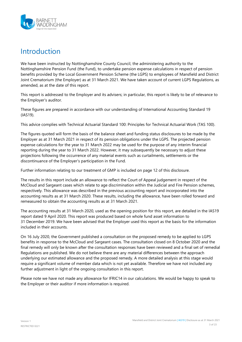

## <span id="page-2-0"></span>**Introduction**

We have been instructed by Nottinghamshire County Council, the administering authority to the Nottinghamshire Pension Fund (the Fund), to undertake pension expense calculations in respect of pension benefits provided by the Local Government Pension Scheme (the LGPS) to employees of Mansfield and District Joint Crematorium (the Employer) as at 31 March 2021. We have taken account of current LGPS Regulations, as amended, as at the date of this report.

This report is addressed to the Employer and its advisers; in particular, this report is likely to be of relevance to the Employer's auditor.

These figures are prepared in accordance with our understanding of International Accounting Standard 19 (IAS19).

This advice complies with Technical Actuarial Standard 100: Principles for Technical Actuarial Work (TAS 100).

The figures quoted will form the basis of the balance sheet and funding status disclosures to be made by the Employer as at 31 March 2021 in respect of its pension obligations under the LGPS. The projected pension expense calculations for the year to 31 March 2022 may be used for the purpose of any interim financial reporting during the year to 31 March 2022. However, it may subsequently be necessary to adjust these projections following the occurrence of any material events such as curtailments, settlements or the discontinuance of the Employer's participation in the Fund.

Further information relating to our treatment of GMP is included on page [12](#page-11-0) of this disclosure.

The results in this report include an allowance to reflect the Court of Appeal judgement in respect of the McCloud and Sargeant cases which relate to age discrimination within the Judicial and Fire Pension schemes, respectively. This allowance was described in the previous accounting report and incorporated into the accounting results as at 31 March 2020. These results, including the allowance, have been rolled forward and remeasured to obtain the accounting results as at 31 March 2021.

The accounting results at 31 March 2020, used as the opening position for this report, are detailed in the IAS19 report dated 9 April 2020. This report was produced based on whole fund asset information to 31 December 2019. We have been advised that the Employer used this report as the basis for the information included in their accounts.

On 16 July 2020, the Government published a consultation on the proposed remedy to be applied to LGPS benefits in response to the McCloud and Sargeant cases. The consultation closed on 8 October 2020 and the final remedy will only be known after the consultation responses have been reviewed and a final set of remedial Regulations are published. We do not believe there are any material differences between the approach underlying our estimated allowance and the proposed remedy. A more detailed analysis at this stage would require a significant volume of member data which is not yet available. Therefore we have not included any further adjustment in light of the ongoing consultation in this report.

Please note we have not made any allowance for IFRIC14 in our calculations. We would be happy to speak to the Employer or their auditor if more information is required.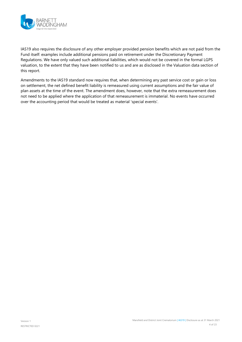

IAS19 also requires the disclosure of any other employer provided pension benefits which are not paid from the Fund itself: examples include additional pensions paid on retirement under the Discretionary Payment Regulations. We have only valued such additional liabilities, which would not be covered in the formal LGPS valuation, to the extent that they have been notified to us and are as disclosed in the Valuation data section of this report.

Amendments to the IAS19 standard now requires that, when determining any past service cost or gain or loss on settlement, the net defined benefit liability is remeasured using current assumptions and the fair value of plan assets at the time of the event. The amendment does, however, note that the extra remeasurement does not need to be applied where the application of that remeasurement is immaterial. No events have occurred over the accounting period that would be treated as material 'special events'.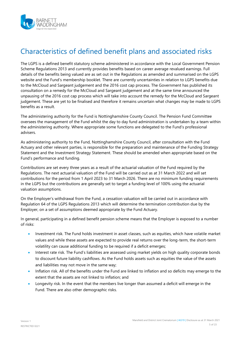

# <span id="page-4-0"></span>Characteristics of defined benefit plans and associated risks

The LGPS is a defined benefit statutory scheme administered in accordance with the Local Government Pension Scheme Regulations 2013 and currently provides benefits based on career average revalued earnings. Full details of the benefits being valued are as set out in the Regulations as amended and summarised on the LGPS website and the Fund's membership booklet. There are currently uncertainties in relation to LGPS benefits due to the McCloud and Sargeant judgement and the 2016 cost cap process. The Government has published its consultation on a remedy for the McCloud and Sargeant judgement and at the same time announced the unpausing of the 2016 cost cap process which will take into account the remedy for the McCloud and Sargeant judgement. These are yet to be finalised and therefore it remains uncertain what changes may be made to LGPS benefits as a result.

The administering authority for the Fund is Nottinghamshire County Council. The Pension Fund Committee oversees the management of the Fund whilst the day to day fund administration is undertaken by a team within the administering authority. Where appropriate some functions are delegated to the Fund's professional advisers.

As administering authority to the Fund, Nottinghamshire County Council, after consultation with the Fund Actuary and other relevant parties, is responsible for the preparation and maintenance of the Funding Strategy Statement and the Investment Strategy Statement. These should be amended when appropriate based on the Fund's performance and funding.

Contributions are set every three years as a result of the actuarial valuation of the Fund required by the Regulations. The next actuarial valuation of the Fund will be carried out as at 31 March 2022 and will set contributions for the period from 1 April 2023 to 31 March 2026. There are no minimum funding requirements in the LGPS but the contributions are generally set to target a funding level of 100% using the actuarial valuation assumptions.

On the Employer's withdrawal from the Fund, a cessation valuation will be carried out in accordance with Regulation 64 of the LGPS Regulations 2013 which will determine the termination contribution due by the Employer, on a set of assumptions deemed appropriate by the Fund Actuary.

In general, participating in a defined benefit pension scheme means that the Employer is exposed to a number of risks:

- Investment risk. The Fund holds investment in asset classes, such as equities, which have volatile market values and while these assets are expected to provide real returns over the long-term, the short-term volatility can cause additional funding to be required if a deficit emerges;
- Interest rate risk. The Fund's liabilities are assessed using market yields on high quality corporate bonds to discount future liability cashflows. As the Fund holds assets such as equities the value of the assets and liabilities may not move in the same way;
- Inflation risk. All of the benefits under the Fund are linked to inflation and so deficits may emerge to the extent that the assets are not linked to inflation; and
- Longevity risk. In the event that the members live longer than assumed a deficit will emerge in the Fund. There are also other demographic risks.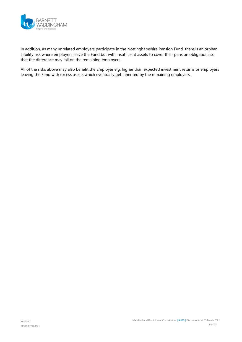

In addition, as many unrelated employers participate in the Nottinghamshire Pension Fund, there is an orphan liability risk where employers leave the Fund but with insufficient assets to cover their pension obligations so that the difference may fall on the remaining employers.

All of the risks above may also benefit the Employer e.g. higher than expected investment returns or employers leaving the Fund with excess assets which eventually get inherited by the remaining employers.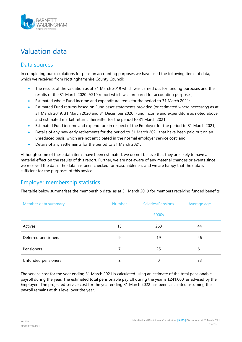

# <span id="page-6-0"></span>Valuation data

### <span id="page-6-1"></span>Data sources

In completing our calculations for pension accounting purposes we have used the following items of data, which we received from Nottinghamshire County Council:

- The results of the valuation as at 31 March 2019 which was carried out for funding purposes and the results of the 31 March 2020 IAS19 report which was prepared for accounting purposes;
- Estimated whole Fund income and expenditure items for the period to 31 March 2021;
- Estimated Fund returns based on Fund asset statements provided (or estimated where necessary) as at 31 March 2019, 31 March 2020 and 31 December 2020, Fund income and expenditure as noted above and estimated market returns thereafter for the period to 31 March 2021;
- Estimated Fund income and expenditure in respect of the Employer for the period to 31 March 2021;
- Details of any new early retirements for the period to 31 March 2021 that have been paid out on an unreduced basis, which are not anticipated in the normal employer service cost; and
- Details of any settlements for the period to 31 March 2021.

Although some of these data items have been estimated, we do not believe that they are likely to have a material effect on the results of this report. Further, we are not aware of any material changes or events since we received the data. The data has been checked for reasonableness and we are happy that the data is sufficient for the purposes of this advice.

### <span id="page-6-2"></span>Employer membership statistics

The table below summarises the membership data, as at 31 March 2019 for members receiving funded benefits.

| Member data summary | <b>Number</b> | Salaries/Pensions | Average age |  |
|---------------------|---------------|-------------------|-------------|--|
|                     |               | £000s             |             |  |
| Actives             | 13            | 263               | 44          |  |
| Deferred pensioners | 9             | 19                | 46          |  |
| Pensioners          |               | 25                | 61          |  |
| Unfunded pensioners | 2             | 0                 | 73          |  |

The service cost for the year ending 31 March 2021 is calculated using an estimate of the total pensionable payroll during the year. The estimated total pensionable payroll during the year is £241,000, as advised by the Employer. The projected service cost for the year ending 31 March 2022 has been calculated assuming the payroll remains at this level over the year.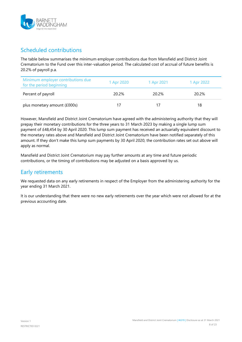

### <span id="page-7-0"></span>Scheduled contributions

The table below summarises the minimum employer contributions due from Mansfield and District Joint Crematorium to the Fund over this inter-valuation period. The calculated cost of accrual of future benefits is 20.2% of payroll p.a.

| Minimum employer contributions due<br>for the period beginning | 1 Apr 2020 | 1 Apr 2021 | 1 Apr 2022 |
|----------------------------------------------------------------|------------|------------|------------|
| Percent of payroll                                             | 20.2%      | 20.2%      | 20.2%      |
| plus monetary amount (£000s)                                   |            |            | 18         |

However, Mansfield and District Joint Crematorium have agreed with the administering authority that they will prepay their monetary contributions for the three years to 31 March 2023 by making a single lump sum payment of £48,454 by 30 April 2020. This lump sum payment has received an actuarially equivalent discount to the monetary rates above and Mansfield and District Joint Crematorium have been notified separately of this amount. If they don't make this lump sum payments by 30 April 2020, the contribution rates set out above will apply as normal.

Mansfield and District Joint Crematorium may pay further amounts at any time and future periodic contributions, or the timing of contributions may be adjusted on a basis approved by us.

### <span id="page-7-1"></span>Early retirements

We requested data on any early retirements in respect of the Employer from the administering authority for the year ending 31 March 2021.

It is our understanding that there were no new early retirements over the year which were not allowed for at the previous accounting date.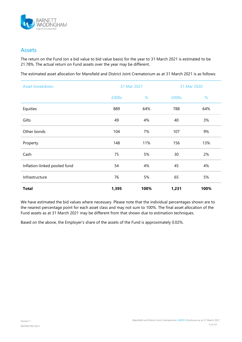

### <span id="page-8-0"></span>Assets

The return on the Fund (on a bid value to bid value basis) for the year to 31 March 2021 is estimated to be 21.78%. The actual return on Fund assets over the year may be different.

The estimated asset allocation for Mansfield and District Joint Crematorium as at 31 March 2021 is as follows:

| Asset breakdown              | 31 Mar 2021 |      | 31 Mar 2020 |      |
|------------------------------|-------------|------|-------------|------|
|                              | £000s       | %    | £000s       | %    |
| Equities                     | 889         | 64%  | 788         | 64%  |
| Gilts                        | 49          | 4%   | 40          | 3%   |
| Other bonds                  | 104         | 7%   | 107         | 9%   |
| Property                     | 148         | 11%  | 156         | 13%  |
| Cash                         | 75          | 5%   | 30          | 2%   |
| Inflation-linked pooled fund | 54          | 4%   | 45          | 4%   |
| Infrastructure               | 76          | 5%   | 65          | 5%   |
| <b>Total</b>                 | 1,395       | 100% | 1,231       | 100% |

We have estimated the bid values where necessary. Please note that the individual percentages shown are to the nearest percentage point for each asset class and may not sum to 100%. The final asset allocation of the Fund assets as at 31 March 2021 may be different from that shown due to estimation techniques.

Based on the above, the Employer's share of the assets of the Fund is approximately 0.02%.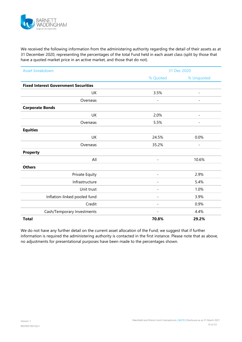

We received the following information from the administering authority regarding the detail of their assets as at 31 December 2020, representing the percentages of the total Fund held in each asset class (split by those that have a quoted market price in an active market, and those that do not).

| Asset breakdown                             |                          | 31 Dec 2020              |
|---------------------------------------------|--------------------------|--------------------------|
|                                             | % Quoted                 | % Unquoted               |
| <b>Fixed Interest Government Securities</b> |                          |                          |
| UK                                          | 3.5%                     | $\overline{\phantom{a}}$ |
| Overseas                                    | $\overline{\phantom{a}}$ | $\overline{\phantom{a}}$ |
| <b>Corporate Bonds</b>                      |                          |                          |
| UK                                          | 2.0%                     | $\overline{\phantom{a}}$ |
| Overseas                                    | 5.5%                     |                          |
| <b>Equities</b>                             |                          |                          |
| UK                                          | 24.5%                    | 0.0%                     |
| Overseas                                    | 35.2%                    | $\overline{\phantom{a}}$ |
| <b>Property</b>                             |                          |                          |
| All                                         | $\overline{\phantom{0}}$ | 10.6%                    |
| <b>Others</b>                               |                          |                          |
| Private Equity                              | $\overline{\phantom{0}}$ | 2.9%                     |
| Infrastructure                              | $\overline{\phantom{0}}$ | 5.4%                     |
| Unit trust                                  |                          | 1.0%                     |
| Inflation-linked pooled fund                | $\overline{\phantom{0}}$ | 3.9%                     |
| Credit                                      | $\overline{\phantom{0}}$ | 0.9%                     |
| Cash/Temporary Investments                  | $\overline{\phantom{0}}$ | 4.4%                     |
| <b>Total</b>                                | 70.8%                    | 29.2%                    |

We do not have any further detail on the current asset allocation of the Fund; we suggest that if further information is required the administering authority is contacted in the first instance. Please note that as above, no adjustments for presentational purposes have been made to the percentages shown.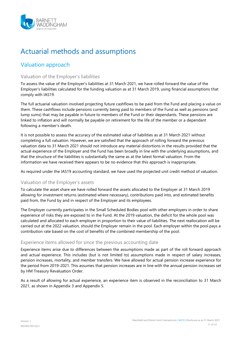

# <span id="page-10-0"></span>Actuarial methods and assumptions

### <span id="page-10-1"></span>Valuation approach

#### <span id="page-10-2"></span>Valuation of the Employer's liabilities

To assess the value of the Employer's liabilities at 31 March 2021, we have rolled forward the value of the Employer's liabilities calculated for the funding valuation as at 31 March 2019, using financial assumptions that comply with IAS19.

The full actuarial valuation involved projecting future cashflows to be paid from the Fund and placing a value on them. These cashflows include pensions currently being paid to members of the Fund as well as pensions (and lump sums) that may be payable in future to members of the Fund or their dependants. These pensions are linked to inflation and will normally be payable on retirement for the life of the member or a dependant following a member's death.

It is not possible to assess the accuracy of the estimated value of liabilities as at 31 March 2021 without completing a full valuation. However, we are satisfied that the approach of rolling forward the previous valuation data to 31 March 2021 should not introduce any material distortions in the results provided that the actual experience of the Employer and the Fund has been broadly in line with the underlying assumptions, and that the structure of the liabilities is substantially the same as at the latest formal valuation. From the information we have received there appears to be no evidence that this approach is inappropriate.

As required under the IAS19 accounting standard, we have used the projected unit credit method of valuation.

#### <span id="page-10-3"></span>Valuation of the Employer's assets

To calculate the asset share we have rolled forward the assets allocated to the Employer at 31 March 2019 allowing for investment returns (estimated where necessary), contributions paid into, and estimated benefits paid from, the Fund by and in respect of the Employer and its employees.

The Employer currently participates in the Small Scheduled Bodies pool with other employers in order to share experience of risks they are exposed to in the Fund. At the 2019 valuation, the deficit for the whole pool was calculated and allocated to each employer in proportion to their value of liabilities. The next reallocation will be carried out at the 2022 valuation, should the Employer remain in the pool. Each employer within the pool pays a contribution rate based on the cost of benefits of the combined membership of the pool.

#### <span id="page-10-4"></span>Experience items allowed for since the previous accounting date

Experience items arise due to differences between the assumptions made as part of the roll forward approach and actual experience. This includes (but is not limited to) assumptions made in respect of salary increases, pension increases, mortality, and member transfers. We have allowed for actual pension increase experience for the period from 2019-2021. This assumes that pension increases are in line with the annual pension increases set by HM Treasury Revaluation Order.

As a result of allowing for actual experience, an experience item is observed in the reconciliation to 31 March 2021, as shown in [Appendix 3](#page-18-0) and [Appendix 5.](#page-21-0)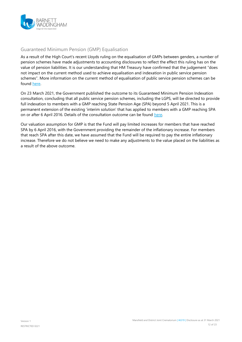

#### <span id="page-11-0"></span>Guaranteed Minimum Pension (GMP) Equalisation

As a result of the High Court's recent Lloyds ruling on the equalisation of GMPs between genders, a number of pension schemes have made adjustments to accounting disclosures to reflect the effect this ruling has on the value of pension liabilities. It is our understanding that HM Treasury have confirmed that the judgement "does not impact on the current method used to achieve equalisation and indexation in public service pension schemes". More information on the current method of equalisation of public service pension schemes can be found [here.](https://www.gov.uk/government/consultations/indexation-and-equalisation-of-gmp-in-public-service-pension-schemes/consultation-on-indexation-and-equalisation-of-gmp-in-public-service-pension-schemes)

On 23 March 2021, the Government published the outcome to its Guaranteed Minimum Pension Indexation consultation, concluding that all public service pension schemes, including the LGPS, will be directed to provide full indexation to members with a GMP reaching State Pension Age (SPA) beyond 5 April 2021. This is a permanent extension of the existing 'interim solution' that has applied to members with a GMP reaching SPA on or after 6 April 2016. Details of the consultation outcome can be found [here.](https://www.gov.uk/government/consultations/public-service-pensions-guaranteed-minimum-pension-indexation-consultation)

Our valuation assumption for GMP is that the Fund will pay limited increases for members that have reached SPA by 6 April 2016, with the Government providing the remainder of the inflationary increase. For members that reach SPA after this date, we have assumed that the Fund will be required to pay the entire inflationary increase. Therefore we do not believe we need to make any adjustments to the value placed on the liabilities as a result of the above outcome.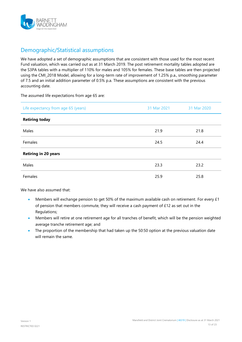

### <span id="page-12-0"></span>Demographic/Statistical assumptions

We have adopted a set of demographic assumptions that are consistent with those used for the most recent Fund valuation, which was carried out as at 31 March 2019. The post retirement mortality tables adopted are the S3PA tables with a multiplier of 110% for males and 105% for females. These base tables are then projected using the CMI\_2018 Model, allowing for a long-term rate of improvement of 1.25% p.a., smoothing parameter of 7.5 and an initial addition parameter of 0.5% p.a. These assumptions are consistent with the previous accounting date.

The assumed life expectations from age 65 are:

| Life expectancy from age 65 (years) | 31 Mar 2021 | 31 Mar 2020 |
|-------------------------------------|-------------|-------------|
| <b>Retiring today</b>               |             |             |
| Males                               | 21.9        | 21.8        |
| Females                             | 24.5        | 24.4        |
| <b>Retiring in 20 years</b>         |             |             |
| Males                               | 23.3        | 23.2        |
| Females                             | 25.9        | 25.8        |

We have also assumed that:

- Members will exchange pension to get 50% of the maximum available cash on retirement. For every £1 of pension that members commute, they will receive a cash payment of £12 as set out in the Regulations;
- Members will retire at one retirement age for all tranches of benefit, which will be the pension weighted average tranche retirement age; and
- The proportion of the membership that had taken up the 50:50 option at the previous valuation date will remain the same.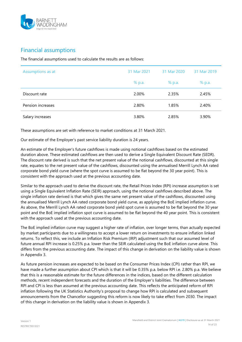

### <span id="page-13-0"></span>Financial assumptions

The financial assumptions used to calculate the results are as follows:

| Assumptions as at | 31 Mar 2021 | 31 Mar 2020 | 31 Mar 2019 |
|-------------------|-------------|-------------|-------------|
|                   | % p.a.      | % p.a.      | % p.a.      |
| Discount rate     | 2.00%       | 2.35%       | 2.45%       |
| Pension increases | 2.80%       | 1.85%       | 2.40%       |
| Salary increases  | 3.80%       | 2.85%       | 3.90%       |

These assumptions are set with reference to market conditions at 31 March 2021.

Our estimate of the Employer's past service liability duration is 24 years.

An estimate of the Employer's future cashflows is made using notional cashflows based on the estimated duration above. These estimated cashflows are then used to derive a Single Equivalent Discount Rate (SEDR). The discount rate derived is such that the net present value of the notional cashflows, discounted at this single rate, equates to the net present value of the cashflows, discounted using the annualised Merrill Lynch AA rated corporate bond yield curve (where the spot curve is assumed to be flat beyond the 30 year point). This is consistent with the approach used at the previous accounting date.

Similar to the approach used to derive the discount rate, the Retail Prices Index (RPI) increase assumption is set using a Single Equivalent Inflation Rate (SEIR) approach, using the notional cashflows described above. The single inflation rate derived is that which gives the same net present value of the cashflows, discounted using the annualised Merrill Lynch AA rated corporate bond yield curve, as applying the BoE implied inflation curve. As above, the Merrill Lynch AA rated corporate bond yield spot curve is assumed to be flat beyond the 30 year point and the BoE implied inflation spot curve is assumed to be flat beyond the 40 year point. This is consistent with the approach used at the previous accounting date.

The BoE implied inflation curve may suggest a higher rate of inflation, over longer terms, than actually expected by market participants due to a willingness to accept a lower return on investments to ensure inflation linked returns. To reflect this, we include an Inflation Risk Premium (IRP) adjustment such that our assumed level of future annual RPI increase is 0.25% p.a. lower than the SEIR calculated using the BoE inflation curve alone. This differs from the previous accounting date. The impact of this change in derivation on the liability value is shown in [Appendix 3.](#page-18-0)

As future pension increases are expected to be based on the Consumer Prices Index (CPI) rather than RPI, we have made a further assumption about CPI which is that it will be 0.35% p.a. below RPI i.e. 2.80% p.a. We believe that this is a reasonable estimate for the future differences in the indices, based on the different calculation methods, recent independent forecasts and the duration of the Employer's liabilities. The difference between RPI and CPI is less than assumed at the previous accounting date. This reflects the anticipated reform of RPI inflation following the UK Statistics Authority's proposal to change how RPI is calculated and subsequent announcements from the Chancellor suggesting this reform is now likely to take effect from 2030. The impact of this change in derivation on the liability value is shown in [Appendix 3.](#page-18-0)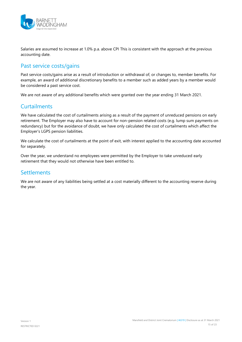

Salaries are assumed to increase at 1.0% p.a. above CPI This is consistent with the approach at the previous accounting date.

### <span id="page-14-0"></span>Past service costs/gains

Past service costs/gains arise as a result of introduction or withdrawal of, or changes to, member benefits. For example, an award of additional discretionary benefits to a member such as added years by a member would be considered a past service cost.

We are not aware of any additional benefits which were granted over the year ending 31 March 2021.

### <span id="page-14-1"></span>**Curtailments**

We have calculated the cost of curtailments arising as a result of the payment of unreduced pensions on early retirement. The Employer may also have to account for non-pension related costs (e.g. lump sum payments on redundancy) but for the avoidance of doubt, we have only calculated the cost of curtailments which affect the Employer's LGPS pension liabilities.

We calculate the cost of curtailments at the point of exit, with interest applied to the accounting date accounted for separately.

Over the year, we understand no employees were permitted by the Employer to take unreduced early retirement that they would not otherwise have been entitled to.

### <span id="page-14-2"></span>**Settlements**

We are not aware of any liabilities being settled at a cost materially different to the accounting reserve during the year.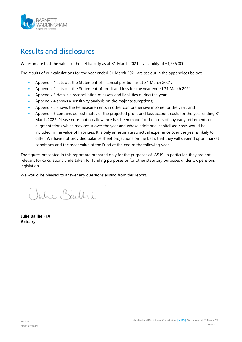

## <span id="page-15-0"></span>Results and disclosures

We estimate that the value of the net liability as at 31 March 2021 is a liability of £1,655,000.

The results of our calculations for the year ended 31 March 2021 are set out in the appendices below:

- Appendix 1 sets out the Statement of financial position as at 31 March 2021;
- Appendix 2 sets out the Statement of profit and loss for the year ended 31 March 2021;
- Appendix 3 details a reconciliation of assets and liabilities during the year;
- Appendix 4 shows a sensitivity analysis on the major assumptions;
- Appendix 5 shows the Remeasurements in other comprehensive income for the year; and
- Appendix 6 contains our estimates of the projected profit and loss account costs for the year ending 31 March 2022. Please note that no allowance has been made for the costs of any early retirements or augmentations which may occur over the year and whose additional capitalised costs would be included in the value of liabilities. It is only an estimate so actual experience over the year is likely to differ. We have not provided balance sheet projections on the basis that they will depend upon market conditions and the asset value of the Fund at the end of the following year.

The figures presented in this report are prepared only for the purposes of IAS19. In particular, they are not relevant for calculations undertaken for funding purposes or for other statutory purposes under UK pensions legislation.

We would be pleased to answer any questions arising from this report.

Julie Baillie

**Julie Baillie FFA Actuary**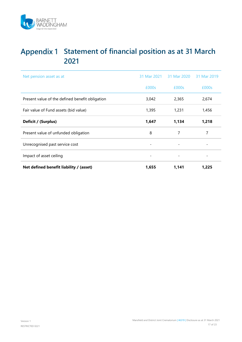

# <span id="page-16-0"></span>Appendix 1 Statement of financial position as at 31 March **2021**

| Net pension asset as at                         | 31 Mar 2021              | 31 Mar 2020 | 31 Mar 2019 |
|-------------------------------------------------|--------------------------|-------------|-------------|
|                                                 | £000s                    | £000s       | £000s       |
| Present value of the defined benefit obligation | 3,042                    | 2,365       | 2,674       |
| Fair value of Fund assets (bid value)           | 1,395                    | 1,231       | 1,456       |
| Deficit / (Surplus)                             | 1,647                    | 1,134       | 1,218       |
| Present value of unfunded obligation            | 8                        | 7           | 7           |
| Unrecognised past service cost                  |                          |             |             |
| Impact of asset ceiling                         | $\overline{\phantom{a}}$ |             |             |
| Net defined benefit liability / (asset)         | 1,655                    | 1,141       | 1,225       |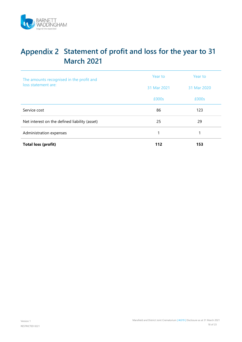

# <span id="page-17-0"></span>**Statement of profit and loss for the year to 31 March 2021**

| The amounts recognised in the profit and      | Year to     | Year to     |
|-----------------------------------------------|-------------|-------------|
| loss statement are:                           | 31 Mar 2021 | 31 Mar 2020 |
|                                               | £000s       | £000s       |
| Service cost                                  | 86          | 123         |
| Net interest on the defined liability (asset) | 25          | 29          |
| Administration expenses                       | 1           |             |
| <b>Total loss (profit)</b>                    | 112         | 153         |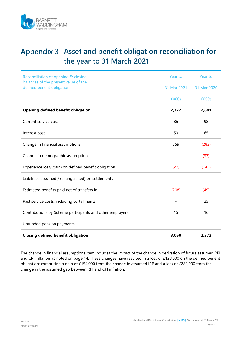

# <span id="page-18-0"></span>Appendix 3 Asset and benefit obligation reconciliation for **the year to 31 March 2021**

| Reconciliation of opening & closing                                | Year to     | Year to     |
|--------------------------------------------------------------------|-------------|-------------|
| balances of the present value of the<br>defined benefit obligation | 31 Mar 2021 | 31 Mar 2020 |
|                                                                    | £000s       | £000s       |
| <b>Opening defined benefit obligation</b>                          | 2,372       | 2,681       |
| Current service cost                                               | 86          | 98          |
| Interest cost                                                      | 53          | 65          |
| Change in financial assumptions                                    | 759         | (282)       |
| Change in demographic assumptions                                  |             | (37)        |
| Experience loss/(gain) on defined benefit obligation               | (27)        | (145)       |
| Liabilities assumed / (extinguished) on settlements                |             |             |
| Estimated benefits paid net of transfers in                        | (208)       | (49)        |
| Past service costs, including curtailments                         |             | 25          |
| Contributions by Scheme participants and other employers           | 15          | 16          |
| Unfunded pension payments                                          |             |             |
| <b>Closing defined benefit obligation</b>                          | 3,050       | 2,372       |

The change in financial assumptions item includes the impact of the change in derivation of future assumed RPI and CPI inflation as noted on page [14.](#page-13-0) These changes have resulted in a loss of £128,000 on the defined benefit obligation; comprising a gain of £154,000 from the change in assumed IRP and a loss of £282,000 from the change in the assumed gap between RPI and CPI inflation.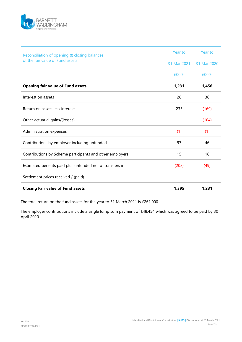

| Reconciliation of opening & closing balances              | Year to     | Year to     |
|-----------------------------------------------------------|-------------|-------------|
| of the fair value of Fund assets                          | 31 Mar 2021 | 31 Mar 2020 |
|                                                           | £000s       | £000s       |
| <b>Opening fair value of Fund assets</b>                  | 1,231       | 1,456       |
| Interest on assets                                        | 28          | 36          |
| Return on assets less interest                            | 233         | (169)       |
| Other actuarial gains/(losses)                            |             | (104)       |
| Administration expenses                                   | (1)         | (1)         |
| Contributions by employer including unfunded              | 97          | 46          |
| Contributions by Scheme participants and other employers  | 15          | 16          |
| Estimated benefits paid plus unfunded net of transfers in | (208)       | (49)        |
| Settlement prices received / (paid)                       |             |             |
| <b>Closing Fair value of Fund assets</b>                  | 1,395       | 1,231       |

The total return on the fund assets for the year to 31 March 2021 is £261,000.

The employer contributions include a single lump sum payment of £48,454 which was agreed to be paid by 30 April 2020.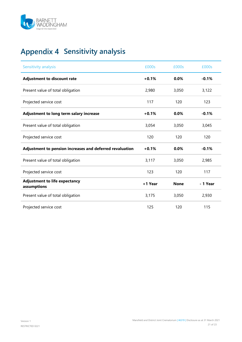

# <span id="page-20-0"></span>**Appendix 4 Sensitivity analysis**

| Sensitivity analysis                                     | £000s   | £000s       | £000s    |
|----------------------------------------------------------|---------|-------------|----------|
| <b>Adjustment to discount rate</b>                       | $+0.1%$ | 0.0%        | $-0.1%$  |
| Present value of total obligation                        | 2,980   | 3,050       | 3,122    |
| Projected service cost                                   | 117     | 120         | 123      |
| Adjustment to long term salary increase                  | $+0.1%$ | 0.0%        | $-0.1%$  |
| Present value of total obligation                        | 3,054   | 3,050       | 3,045    |
| Projected service cost                                   | 120     | 120         | 120      |
| Adjustment to pension increases and deferred revaluation | $+0.1%$ | 0.0%        | $-0.1%$  |
| Present value of total obligation                        | 3,117   | 3,050       | 2,985    |
| Projected service cost                                   | 123     | 120         | 117      |
| <b>Adjustment to life expectancy</b><br>assumptions      | +1 Year | <b>None</b> | - 1 Year |
| Present value of total obligation                        | 3,175   | 3,050       | 2,930    |
| Projected service cost                                   | 125     | 120         | 115      |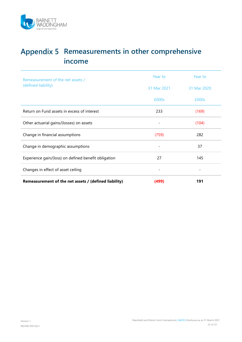

# <span id="page-21-0"></span>**Remeasurements in other comprehensive income**

| Remeasurement of the net assets /<br>(defined liability) | Year to                  | Year to        |
|----------------------------------------------------------|--------------------------|----------------|
|                                                          | 31 Mar 2021              | 31 Mar 2020    |
|                                                          | £000s                    | £000s          |
| Return on Fund assets in excess of interest              | 233                      | (169)          |
| Other actuarial gains/(losses) on assets                 |                          | (104)          |
| Change in financial assumptions                          | (759)                    | 282            |
| Change in demographic assumptions                        |                          | 37             |
| Experience gain/(loss) on defined benefit obligation     | 27                       | 145            |
| Changes in effect of asset ceiling                       | $\overline{\phantom{a}}$ | $\overline{a}$ |
| Remeasurement of the net assets / (defined liability)    | (499)                    | 191            |